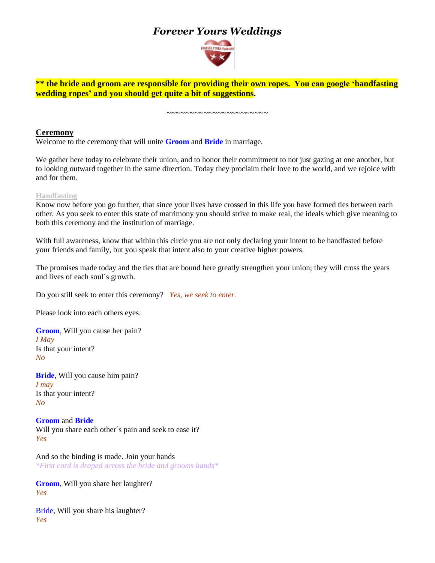# *Forever Yours Weddings*



**\*\* the bride and groom are responsible for providing their own ropes. You can google 'handfasting wedding ropes' and you should get quite a bit of suggestions.**

~~~~~~~~~~~~~~~~~~~~~~

## **Ceremony**

Welcome to the ceremony that will unite **Groom** and **Bride** in marriage.

We gather here today to celebrate their union, and to honor their commitment to not just gazing at one another, but to looking outward together in the same direction. Today they proclaim their love to the world, and we rejoice with and for them.

## **Handfasting**

Know now before you go further, that since your lives have crossed in this life you have formed ties between each other. As you seek to enter this state of matrimony you should strive to make real, the ideals which give meaning to both this ceremony and the institution of marriage.

With full awareness, know that within this circle you are not only declaring your intent to be handfasted before your friends and family, but you speak that intent also to your creative higher powers.

The promises made today and the ties that are bound here greatly strengthen your union; they will cross the years and lives of each soul´s growth.

Do you still seek to enter this ceremony? *Yes, we seek to enter.*

Please look into each others eyes.

**Groom**, Will you cause her pain? *I May* Is that your intent? *No*

**Bride**, Will you cause him pain? *I may* Is that your intent? *No*

**Groom** and **Bride** Will you share each other's pain and seek to ease it? *Yes*

And so the binding is made. Join your hands *\*First cord is draped across the bride and grooms hands\**

**Groom**, Will you share her laughter? *Yes*

Bride, Will you share his laughter? *Yes*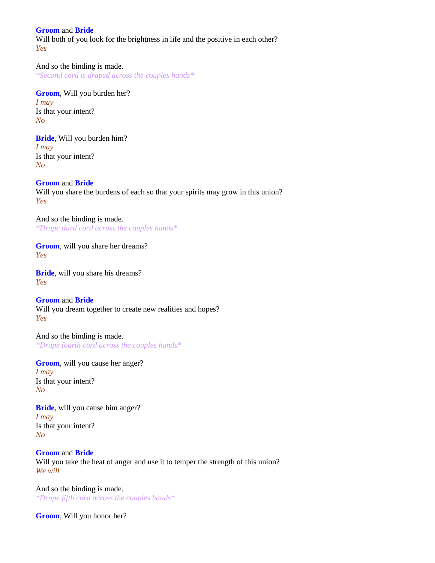#### **Groom** and **Bride**

Will both of you look for the brightness in life and the positive in each other? *Yes*

And so the binding is made. *\*Second cord is draped across the couples hands\**

**Groom**, Will you burden her? *I may* Is that your intent? *No*

**Bride**, Will you burden him? *I may* Is that your intent? *No*

**Groom** and **Bride** Will you share the burdens of each so that your spirits may grow in this union? *Yes*

And so the binding is made. *\*Drape third cord across the couples hands\**

**Groom**, will you share her dreams? *Yes*

**Bride**, will you share his dreams? *Yes*

**Groom** and **Bride** Will you dream together to create new realities and hopes? *Yes*

And so the binding is made. *\*Drape fourth cord across the couples hands\**

**Groom**, will you cause her anger? *I may* Is that your intent? *No*

**Bride**, will you cause him anger? *I may* Is that your intent? *No*

**Groom** and **Bride** Will you take the heat of anger and use it to temper the strength of this union? *We will*

And so the binding is made. *\*Drape fifth cord across the couples hands\**

**Groom**, Will you honor her?